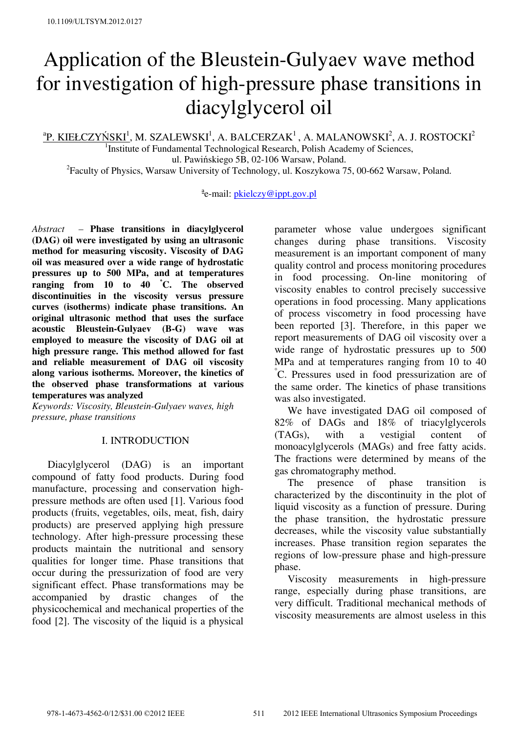# Application of the Bleustein-Gulyaev wave method for investigation of high-pressure phase transitions in diacylglycerol oil

 $\rm ^{a}P.$  KIEŁCZYŃSKI $\rm ^{1}$ , M. SZALEWSKI $\rm ^{1}$ , A. BALCERZAK $\rm ^{1}$ , A. MALANOWSKI $\rm ^{2}$ , A. J. ROSTOCKI $\rm ^{2}$ 

<sup>1</sup>Institute of Fundamental Technological Research, Polish Academy of Sciences, ul. Pawińskiego 5B, 02-106 Warsaw, Poland. <sup>2</sup> Faculty of Physics, Warsaw University of Technology, ul. Koszykowa 75, 00-662 Warsaw, Poland.

<sup>a</sup>e-mail: <u>pkielczy@ippt.gov.pl</u>

*Abstract –* **Phase transitions in diacylglycerol (DAG) oil were investigated by using an ultrasonic method for measuring viscosity. Viscosity of DAG oil was measured over a wide range of hydrostatic pressures up to 500 MPa, and at temperatures ranging from 10 to 40** ° **C. The observed discontinuities in the viscosity versus pressure curves (isotherms) indicate phase transitions. An original ultrasonic method that uses the surface acoustic Bleustein-Gulyaev (B-G) wave was employed to measure the viscosity of DAG oil at high pressure range. This method allowed for fast and reliable measurement of DAG oil viscosity along various isotherms. Moreover, the kinetics of the observed phase transformations at various temperatures was analyzed** 

*Keywords: Viscosity, Bleustein-Gulyaev waves, high pressure, phase transitions* 

### I. INTRODUCTION

 Diacylglycerol (DAG) is an important compound of fatty food products. During food manufacture, processing and conservation highpressure methods are often used [1]. Various food products (fruits, vegetables, oils, meat, fish, dairy products) are preserved applying high pressure technology. After high-pressure processing these products maintain the nutritional and sensory qualities for longer time. Phase transitions that occur during the pressurization of food are very significant effect. Phase transformations may be accompanied by drastic changes of the physicochemical and mechanical properties of the food [2]. The viscosity of the liquid is a physical

parameter whose value undergoes significant changes during phase transitions. Viscosity measurement is an important component of many quality control and process monitoring procedures in food processing. On-line monitoring of viscosity enables to control precisely successive operations in food processing. Many applications of process viscometry in food processing have been reported [3]. Therefore, in this paper we report measurements of DAG oil viscosity over a wide range of hydrostatic pressures up to 500 MPa and at temperatures ranging from 10 to 40 ° C. Pressures used in food pressurization are of the same order. The kinetics of phase transitions was also investigated.

 We have investigated DAG oil composed of 82% of DAGs and 18% of triacylglycerols (TAGs), with a vestigial content of monoacylglycerols (MAGs) and free fatty acids. The fractions were determined by means of the gas chromatography method.

 The presence of phase transition is characterized by the discontinuity in the plot of liquid viscosity as a function of pressure. During the phase transition, the hydrostatic pressure decreases, while the viscosity value substantially increases. Phase transition region separates the regions of low-pressure phase and high-pressure phase.

 Viscosity measurements in high-pressure range, especially during phase transitions, are very difficult. Traditional mechanical methods of viscosity measurements are almost useless in this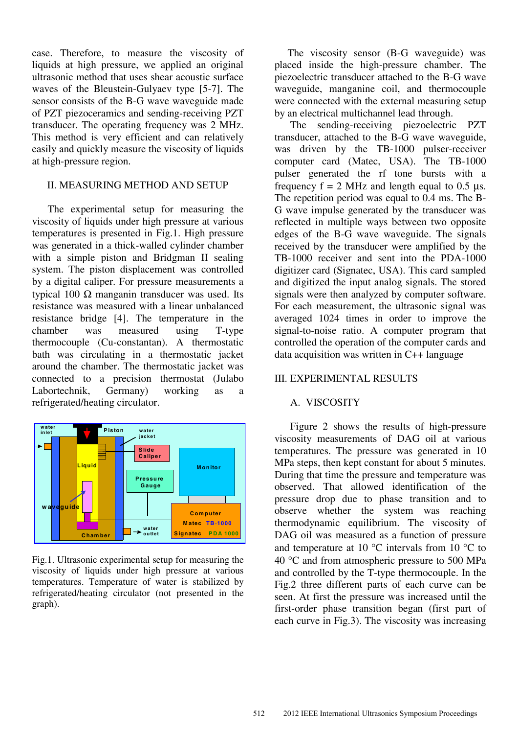case. Therefore, to measure the viscosity of liquids at high pressure, we applied an original ultrasonic method that uses shear acoustic surface waves of the Bleustein-Gulyaev type [5-7]. The sensor consists of the B-G wave waveguide made of PZT piezoceramics and sending-receiving PZT transducer. The operating frequency was 2 MHz. This method is very efficient and can relatively easily and quickly measure the viscosity of liquids at high-pressure region.

### II. MEASURING METHOD AND SETUP

 The experimental setup for measuring the viscosity of liquids under high pressure at various temperatures is presented in Fig.1. High pressure was generated in a thick-walled cylinder chamber with a simple piston and Bridgman II sealing system. The piston displacement was controlled by a digital caliper. For pressure measurements a typical 100 Ω manganin transducer was used. Its resistance was measured with a linear unbalanced resistance bridge [4]. The temperature in the chamber was measured using T-type thermocouple (Cu-constantan). A thermostatic bath was circulating in a thermostatic jacket around the chamber. The thermostatic jacket was connected to a precision thermostat (Julabo Labortechnik, Germany) working as a refrigerated/heating circulator.



Fig.1. Ultrasonic experimental setup for measuring the viscosity of liquids under high pressure at various temperatures. Temperature of water is stabilized by refrigerated/heating circulator (not presented in the graph).

 The viscosity sensor (B-G waveguide) was placed inside the high-pressure chamber. The piezoelectric transducer attached to the B-G wave waveguide, manganine coil, and thermocouple were connected with the external measuring setup by an electrical multichannel lead through.

 The sending-receiving piezoelectric PZT transducer, attached to the B-G wave waveguide, was driven by the TB-1000 pulser-receiver computer card (Matec, USA). The TB-1000 pulser generated the rf tone bursts with a frequency  $f = 2$  MHz and length equal to 0.5 μs. The repetition period was equal to 0.4 ms. The B-G wave impulse generated by the transducer was reflected in multiple ways between two opposite edges of the B-G wave waveguide. The signals received by the transducer were amplified by the TB-1000 receiver and sent into the PDA-1000 digitizer card (Signatec, USA). This card sampled and digitized the input analog signals. The stored signals were then analyzed by computer software. For each measurement, the ultrasonic signal was averaged 1024 times in order to improve the signal-to-noise ratio. A computer program that controlled the operation of the computer cards and data acquisition was written in C++ language

#### III. EXPERIMENTAL RESULTS

### A. VISCOSITY

 Figure 2 shows the results of high-pressure viscosity measurements of DAG oil at various temperatures. The pressure was generated in 10 MPa steps, then kept constant for about 5 minutes. During that time the pressure and temperature was observed. That allowed identification of the pressure drop due to phase transition and to observe whether the system was reaching thermodynamic equilibrium. The viscosity of DAG oil was measured as a function of pressure and temperature at 10 °C intervals from 10 °C to 40 °C and from atmospheric pressure to 500 MPa and controlled by the T-type thermocouple. In the Fig.2 three different parts of each curve can be seen. At first the pressure was increased until the first-order phase transition began (first part of each curve in Fig.3). The viscosity was increasing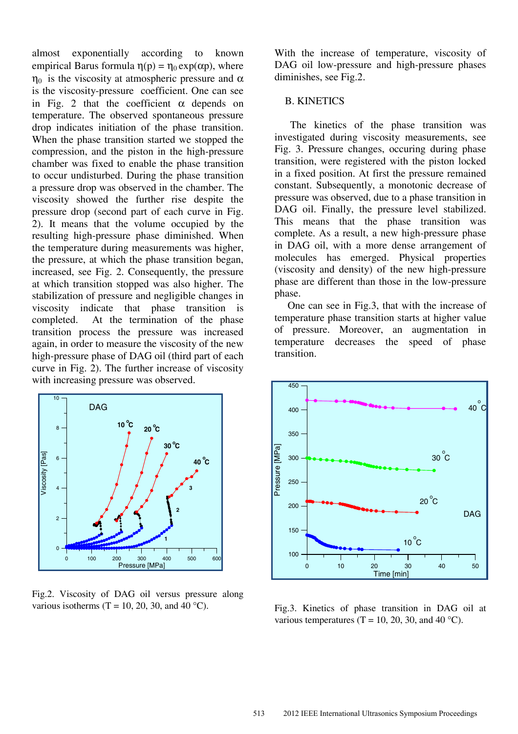almost exponentially according to known empirical Barus formula  $\eta(p) = \eta_0 \exp(\alpha p)$ , where  $η<sub>0</sub>$  is the viscosity at atmospheric pressure and α is the viscosity-pressure coefficient. One can see in Fig. 2 that the coefficient  $\alpha$  depends on temperature. The observed spontaneous pressure drop indicates initiation of the phase transition. When the phase transition started we stopped the compression, and the piston in the high-pressure chamber was fixed to enable the phase transition to occur undisturbed. During the phase transition a pressure drop was observed in the chamber. The viscosity showed the further rise despite the pressure drop (second part of each curve in Fig. 2). It means that the volume occupied by the resulting high-pressure phase diminished. When the temperature during measurements was higher, the pressure, at which the phase transition began, increased, see Fig. 2. Consequently, the pressure at which transition stopped was also higher. The stabilization of pressure and negligible changes in viscosity indicate that phase transition is completed. At the termination of the phase transition process the pressure was increased again, in order to measure the viscosity of the new high-pressure phase of DAG oil (third part of each curve in Fig. 2). The further increase of viscosity with increasing pressure was observed.



Fig.2. Viscosity of DAG oil versus pressure along various isotherms (T = 10, 20, 30, and 40 °C).

With the increase of temperature, viscosity of DAG oil low-pressure and high-pressure phases diminishes, see Fig.2.

### B. KINETICS

 The kinetics of the phase transition was investigated during viscosity measurements, see Fig. 3. Pressure changes, occuring during phase transition, were registered with the piston locked in a fixed position. At first the pressure remained constant. Subsequently, a monotonic decrease of pressure was observed, due to a phase transition in DAG oil. Finally, the pressure level stabilized. This means that the phase transition was complete. As a result, a new high-pressure phase in DAG oil, with a more dense arrangement of molecules has emerged. Physical properties (viscosity and density) of the new high-pressure phase are different than those in the low-pressure phase.

 One can see in Fig.3, that with the increase of temperature phase transition starts at higher value of pressure. Moreover, an augmentation in temperature decreases the speed of phase transition.



Fig.3. Kinetics of phase transition in DAG oil at various temperatures (T = 10, 20, 30, and 40 °C).